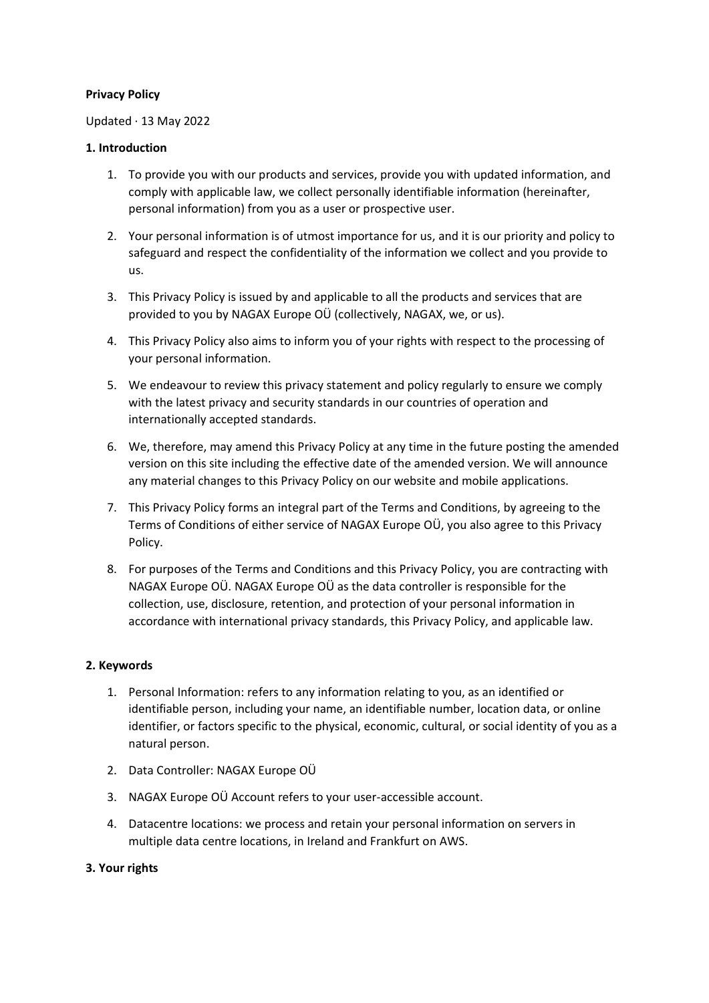## **Privacy Policy**

## Updated · 13 May 2022

## **1. Introduction**

- 1. To provide you with our products and services, provide you with updated information, and comply with applicable law, we collect personally identifiable information (hereinafter, personal information) from you as a user or prospective user.
- 2. Your personal information is of utmost importance for us, and it is our priority and policy to safeguard and respect the confidentiality of the information we collect and you provide to us.
- 3. This Privacy Policy is issued by and applicable to all the products and services that are provided to you by NAGAX Europe OÜ (collectively, NAGAX, we, or us).
- 4. This Privacy Policy also aims to inform you of your rights with respect to the processing of your personal information.
- 5. We endeavour to review this privacy statement and policy regularly to ensure we comply with the latest privacy and security standards in our countries of operation and internationally accepted standards.
- 6. We, therefore, may amend this Privacy Policy at any time in the future posting the amended version on this site including the effective date of the amended version. We will announce any material changes to this Privacy Policy on our website and mobile applications.
- 7. This Privacy Policy forms an integral part of the Terms and Conditions, by agreeing to the Terms of Conditions of either service of NAGAX Europe OÜ, you also agree to this Privacy Policy.
- 8. For purposes of the Terms and Conditions and this Privacy Policy, you are contracting with NAGAX Europe OÜ. NAGAX Europe OÜ as the data controller is responsible for the collection, use, disclosure, retention, and protection of your personal information in accordance with international privacy standards, this Privacy Policy, and applicable law.

## **2. Keywords**

- 1. Personal Information: refers to any information relating to you, as an identified or identifiable person, including your name, an identifiable number, location data, or online identifier, or factors specific to the physical, economic, cultural, or social identity of you as a natural person.
- 2. Data Controller: NAGAX Europe OÜ
- 3. NAGAX Europe OÜ Account refers to your user-accessible account.
- 4. Datacentre locations: we process and retain your personal information on servers in multiple data centre locations, in Ireland and Frankfurt on AWS.

# **3. Your rights**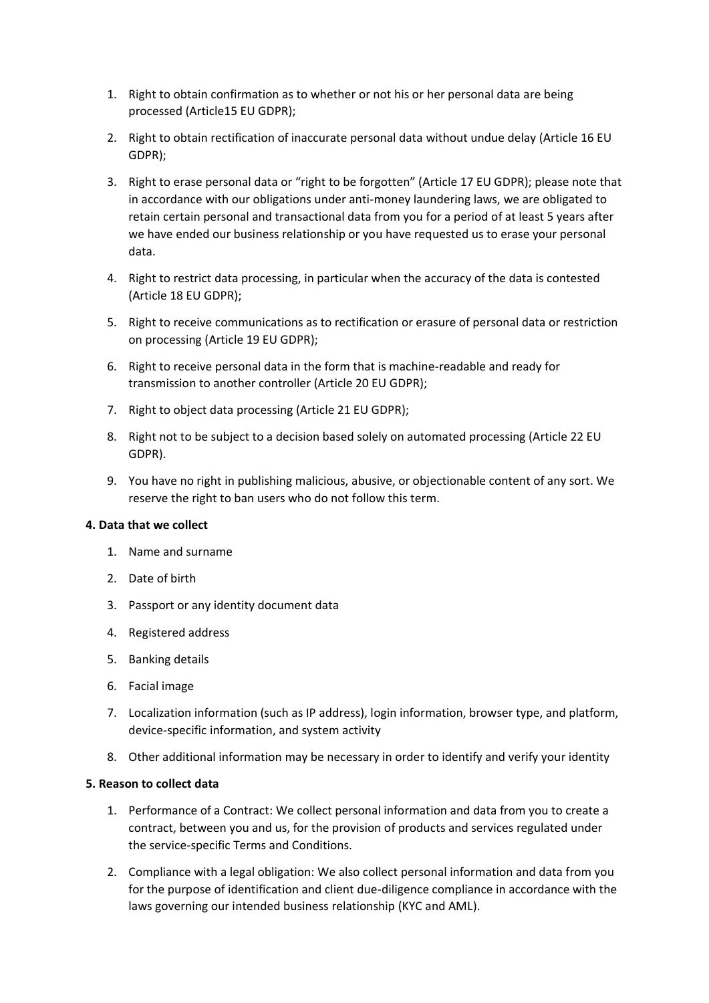- 1. Right to obtain confirmation as to whether or not his or her personal data are being processed (Article15 EU GDPR);
- 2. Right to obtain rectification of inaccurate personal data without undue delay (Article 16 EU GDPR);
- 3. Right to erase personal data or "right to be forgotten" (Article 17 EU GDPR); please note that in accordance with our obligations under anti-money laundering laws, we are obligated to retain certain personal and transactional data from you for a period of at least 5 years after we have ended our business relationship or you have requested us to erase your personal data.
- 4. Right to restrict data processing, in particular when the accuracy of the data is contested (Article 18 EU GDPR);
- 5. Right to receive communications as to rectification or erasure of personal data or restriction on processing (Article 19 EU GDPR);
- 6. Right to receive personal data in the form that is machine-readable and ready for transmission to another controller (Article 20 EU GDPR);
- 7. Right to object data processing (Article 21 EU GDPR);
- 8. Right not to be subject to a decision based solely on automated processing (Article 22 EU GDPR).
- 9. You have no right in publishing malicious, abusive, or objectionable content of any sort. We reserve the right to ban users who do not follow this term.

## **4. Data that we collect**

- 1. Name and surname
- 2. Date of birth
- 3. Passport or any identity document data
- 4. Registered address
- 5. Banking details
- 6. Facial image
- 7. Localization information (such as IP address), login information, browser type, and platform, device-specific information, and system activity
- 8. Other additional information may be necessary in order to identify and verify your identity

#### **5. Reason to collect data**

- 1. Performance of a Contract: We collect personal information and data from you to create a contract, between you and us, for the provision of products and services regulated under the service-specific Terms and Conditions.
- 2. Compliance with a legal obligation: We also collect personal information and data from you for the purpose of identification and client due-diligence compliance in accordance with the laws governing our intended business relationship (KYC and AML).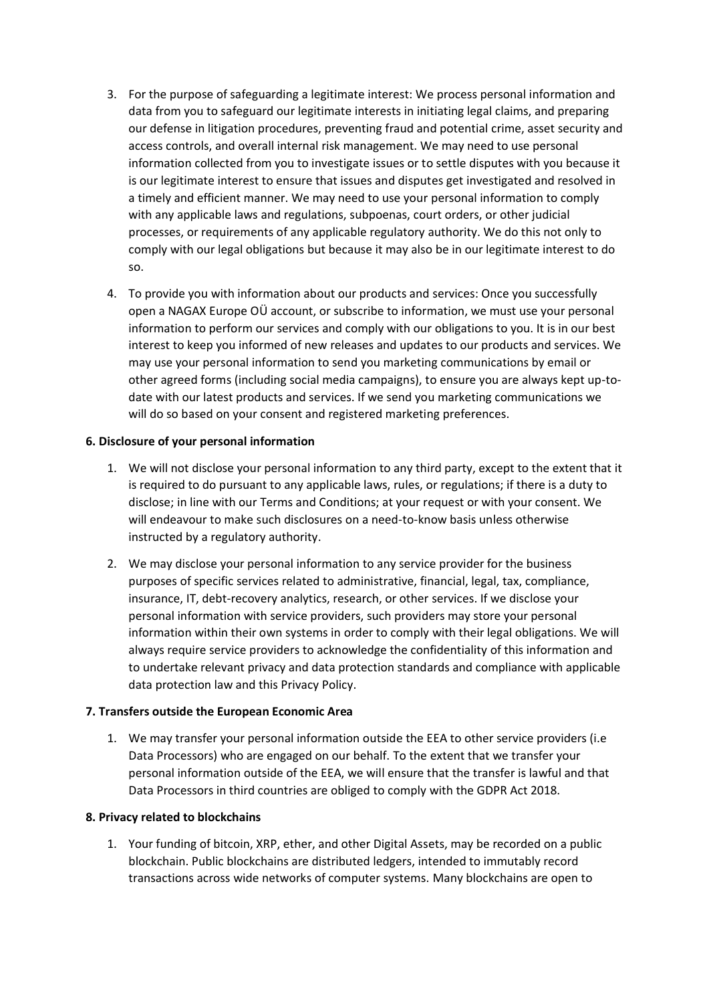- 3. For the purpose of safeguarding a legitimate interest: We process personal information and data from you to safeguard our legitimate interests in initiating legal claims, and preparing our defense in litigation procedures, preventing fraud and potential crime, asset security and access controls, and overall internal risk management. We may need to use personal information collected from you to investigate issues or to settle disputes with you because it is our legitimate interest to ensure that issues and disputes get investigated and resolved in a timely and efficient manner. We may need to use your personal information to comply with any applicable laws and regulations, subpoenas, court orders, or other judicial processes, or requirements of any applicable regulatory authority. We do this not only to comply with our legal obligations but because it may also be in our legitimate interest to do so.
- 4. To provide you with information about our products and services: Once you successfully open a NAGAX Europe OÜ account, or subscribe to information, we must use your personal information to perform our services and comply with our obligations to you. It is in our best interest to keep you informed of new releases and updates to our products and services. We may use your personal information to send you marketing communications by email or other agreed forms (including social media campaigns), to ensure you are always kept up-todate with our latest products and services. If we send you marketing communications we will do so based on your consent and registered marketing preferences.

## **6. Disclosure of your personal information**

- 1. We will not disclose your personal information to any third party, except to the extent that it is required to do pursuant to any applicable laws, rules, or regulations; if there is a duty to disclose; in line with our Terms and Conditions; at your request or with your consent. We will endeavour to make such disclosures on a need-to-know basis unless otherwise instructed by a regulatory authority.
- 2. We may disclose your personal information to any service provider for the business purposes of specific services related to administrative, financial, legal, tax, compliance, insurance, IT, debt-recovery analytics, research, or other services. If we disclose your personal information with service providers, such providers may store your personal information within their own systems in order to comply with their legal obligations. We will always require service providers to acknowledge the confidentiality of this information and to undertake relevant privacy and data protection standards and compliance with applicable data protection law and this Privacy Policy.

## **7. Transfers outside the European Economic Area**

1. We may transfer your personal information outside the EEA to other service providers (i.e Data Processors) who are engaged on our behalf. To the extent that we transfer your personal information outside of the EEA, we will ensure that the transfer is lawful and that Data Processors in third countries are obliged to comply with the GDPR Act 2018.

## **8. Privacy related to blockchains**

1. Your funding of bitcoin, XRP, ether, and other Digital Assets, may be recorded on a public blockchain. Public blockchains are distributed ledgers, intended to immutably record transactions across wide networks of computer systems. Many blockchains are open to